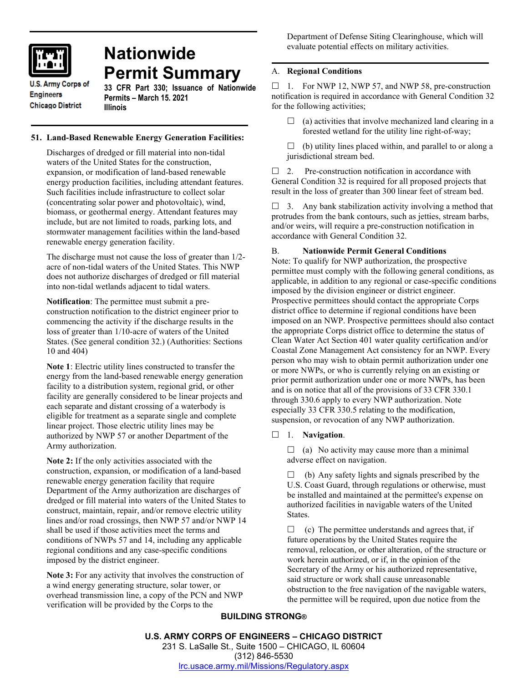

# **Nationwide Permit Summary**

**U.S. Army Corps of Engineers Chicago District** 

**33 CFR Part 330; Issuance of Nationwide Permits – March 15. 2021 Illinois**

# **51. Land-Based Renewable Energy Generation Facilities:**

Discharges of dredged or fill material into non-tidal waters of the United States for the construction, expansion, or modification of land-based renewable energy production facilities, including attendant features. Such facilities include infrastructure to collect solar (concentrating solar power and photovoltaic), wind, biomass, or geothermal energy. Attendant features may include, but are not limited to roads, parking lots, and stormwater management facilities within the land-based renewable energy generation facility.

The discharge must not cause the loss of greater than 1/2 acre of non-tidal waters of the United States. This NWP does not authorize discharges of dredged or fill material into non-tidal wetlands adjacent to tidal waters.

**Notification**: The permittee must submit a preconstruction notification to the district engineer prior to commencing the activity if the discharge results in the loss of greater than 1/10-acre of waters of the United States. (See general condition 32.) (Authorities: Sections 10 and 404)

**Note 1**: Electric utility lines constructed to transfer the energy from the land-based renewable energy generation facility to a distribution system, regional grid, or other facility are generally considered to be linear projects and each separate and distant crossing of a waterbody is eligible for treatment as a separate single and complete linear project. Those electric utility lines may be authorized by NWP 57 or another Department of the Army authorization.

**Note 2:** If the only activities associated with the construction, expansion, or modification of a land-based renewable energy generation facility that require Department of the Army authorization are discharges of dredged or fill material into waters of the United States to construct, maintain, repair, and/or remove electric utility lines and/or road crossings, then NWP 57 and/or NWP 14 shall be used if those activities meet the terms and conditions of NWPs 57 and 14, including any applicable regional conditions and any case-specific conditions imposed by the district engineer.

**Note 3:** For any activity that involves the construction of a wind energy generating structure, solar tower, or overhead transmission line, a copy of the PCN and NWP verification will be provided by the Corps to the

Department of Defense Siting Clearinghouse, which will evaluate potential effects on military activities.

## A. **Regional Conditions**

 $\Box$  1. For NWP 12, NWP 57, and NWP 58, pre-construction notification is required in accordance with General Condition 32 for the following activities;

 $\Box$  (a) activities that involve mechanized land clearing in a forested wetland for the utility line right-of-way;

 $\Box$  (b) utility lines placed within, and parallel to or along a jurisdictional stream bed.

 $\Box$  2. Pre-construction notification in accordance with General Condition 32 is required for all proposed projects that result in the loss of greater than 300 linear feet of stream bed.

 $\Box$  3. Any bank stabilization activity involving a method that protrudes from the bank contours, such as jetties, stream barbs, and/or weirs, will require a pre-construction notification in accordance with General Condition 32.

# B. **Nationwide Permit General Conditions**

Note: To qualify for NWP authorization, the prospective permittee must comply with the following general conditions, as applicable, in addition to any regional or case-specific conditions imposed by the division engineer or district engineer. Prospective permittees should contact the appropriate Corps district office to determine if regional conditions have been imposed on an NWP. Prospective permittees should also contact the appropriate Corps district office to determine the status of Clean Water Act Section 401 water quality certification and/or Coastal Zone Management Act consistency for an NWP. Every person who may wish to obtain permit authorization under one or more NWPs, or who is currently relying on an existing or prior permit authorization under one or more NWPs, has been and is on notice that all of the provisions of 33 CFR 330.1 through 330.6 apply to every NWP authorization. Note especially 33 CFR 330.5 relating to the modification, suspension, or revocation of any NWP authorization.

1. **Navigation**.

 $\Box$  (a) No activity may cause more than a minimal adverse effect on navigation.

 $\Box$  (b) Any safety lights and signals prescribed by the U.S. Coast Guard, through regulations or otherwise, must be installed and maintained at the permittee's expense on authorized facilities in navigable waters of the United States.

 $\Box$  (c) The permittee understands and agrees that, if future operations by the United States require the removal, relocation, or other alteration, of the structure or work herein authorized, or if, in the opinion of the Secretary of the Army or his authorized representative, said structure or work shall cause unreasonable obstruction to the free navigation of the navigable waters, the permittee will be required, upon due notice from the

# **BUILDING STRONG®**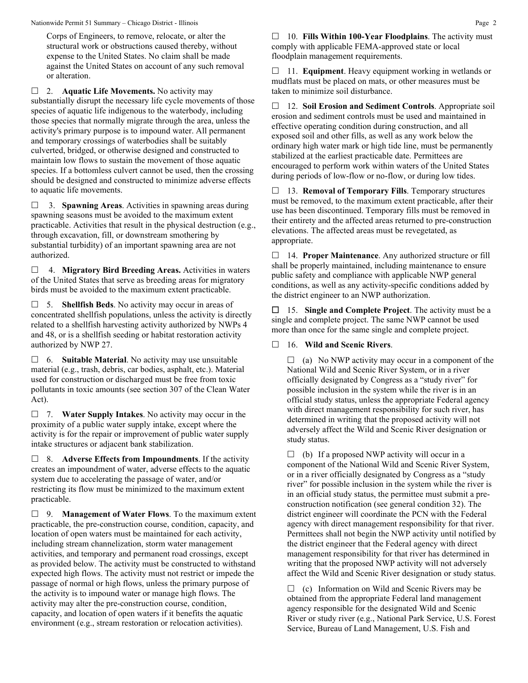Corps of Engineers, to remove, relocate, or alter the structural work or obstructions caused thereby, without expense to the United States. No claim shall be made against the United States on account of any such removal or alteration.

□ 2. **Aquatic Life Movements.** No activity may substantially disrupt the necessary life cycle movements of those species of aquatic life indigenous to the waterbody, including those species that normally migrate through the area, unless the activity's primary purpose is to impound water. All permanent and temporary crossings of waterbodies shall be suitably culverted, bridged, or otherwise designed and constructed to maintain low flows to sustain the movement of those aquatic species. If a bottomless culvert cannot be used, then the crossing should be designed and constructed to minimize adverse effects to aquatic life movements.

 3. **Spawning Areas**. Activities in spawning areas during spawning seasons must be avoided to the maximum extent practicable. Activities that result in the physical destruction (e.g., through excavation, fill, or downstream smothering by substantial turbidity) of an important spawning area are not authorized.

 4. **Migratory Bird Breeding Areas.** Activities in waters of the United States that serve as breeding areas for migratory birds must be avoided to the maximum extent practicable.

 5. **Shellfish Beds**. No activity may occur in areas of concentrated shellfish populations, unless the activity is directly related to a shellfish harvesting activity authorized by NWPs 4 and 48, or is a shellfish seeding or habitat restoration activity authorized by NWP 27.

 6. **Suitable Material**. No activity may use unsuitable material (e.g., trash, debris, car bodies, asphalt, etc.). Material used for construction or discharged must be free from toxic pollutants in toxic amounts (see section 307 of the Clean Water Act).

 7. **Water Supply Intakes**. No activity may occur in the proximity of a public water supply intake, except where the activity is for the repair or improvement of public water supply intake structures or adjacent bank stabilization.

 8. **Adverse Effects from Impoundments**. If the activity creates an impoundment of water, adverse effects to the aquatic system due to accelerating the passage of water, and/or restricting its flow must be minimized to the maximum extent practicable.

 9. **Management of Water Flows**. To the maximum extent practicable, the pre-construction course, condition, capacity, and location of open waters must be maintained for each activity, including stream channelization, storm water management activities, and temporary and permanent road crossings, except as provided below. The activity must be constructed to withstand expected high flows. The activity must not restrict or impede the passage of normal or high flows, unless the primary purpose of the activity is to impound water or manage high flows. The activity may alter the pre-construction course, condition, capacity, and location of open waters if it benefits the aquatic environment (e.g., stream restoration or relocation activities).

 10. **Fills Within 100-Year Floodplains**. The activity must comply with applicable FEMA-approved state or local floodplain management requirements.

 11. **Equipment**. Heavy equipment working in wetlands or mudflats must be placed on mats, or other measures must be taken to minimize soil disturbance.

 12. **Soil Erosion and Sediment Controls**. Appropriate soil erosion and sediment controls must be used and maintained in effective operating condition during construction, and all exposed soil and other fills, as well as any work below the ordinary high water mark or high tide line, must be permanently stabilized at the earliest practicable date. Permittees are encouraged to perform work within waters of the United States during periods of low-flow or no-flow, or during low tides.

 13. **Removal of Temporary Fills**. Temporary structures must be removed, to the maximum extent practicable, after their use has been discontinued. Temporary fills must be removed in their entirety and the affected areas returned to pre-construction elevations. The affected areas must be revegetated, as appropriate.

 14. **Proper Maintenance**. Any authorized structure or fill shall be properly maintained, including maintenance to ensure public safety and compliance with applicable NWP general conditions, as well as any activity-specific conditions added by the district engineer to an NWP authorization.

 15. **Single and Complete Project**. The activity must be a single and complete project. The same NWP cannot be used more than once for the same single and complete project.

## 16. **Wild and Scenic Rivers**.

 $\Box$  (a) No NWP activity may occur in a component of the National Wild and Scenic River System, or in a river officially designated by Congress as a "study river" for possible inclusion in the system while the river is in an official study status, unless the appropriate Federal agency with direct management responsibility for such river, has determined in writing that the proposed activity will not adversely affect the Wild and Scenic River designation or study status.

 $\Box$  (b) If a proposed NWP activity will occur in a component of the National Wild and Scenic River System, or in a river officially designated by Congress as a "study river" for possible inclusion in the system while the river is in an official study status, the permittee must submit a preconstruction notification (see general condition 32). The district engineer will coordinate the PCN with the Federal agency with direct management responsibility for that river. Permittees shall not begin the NWP activity until notified by the district engineer that the Federal agency with direct management responsibility for that river has determined in writing that the proposed NWP activity will not adversely affect the Wild and Scenic River designation or study status.

 $\Box$  (c) Information on Wild and Scenic Rivers may be obtained from the appropriate Federal land management agency responsible for the designated Wild and Scenic River or study river (e.g., National Park Service, U.S. Forest Service, Bureau of Land Management, U.S. Fish and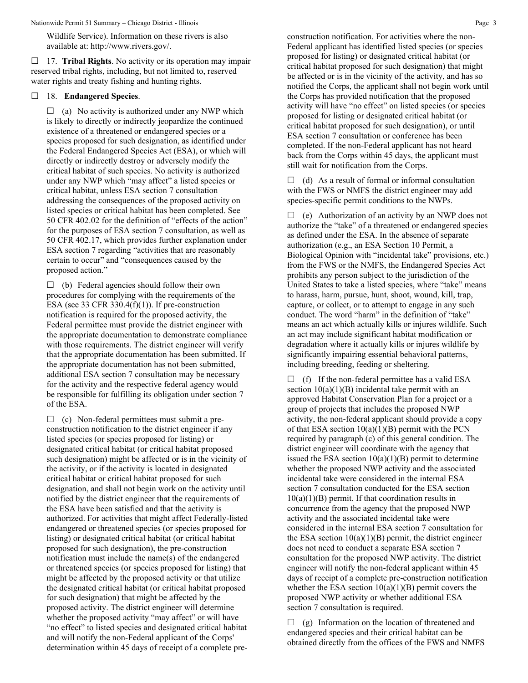Wildlife Service). Information on these rivers is also available at: http://www.rivers.gov/.

 17. **Tribal Rights**. No activity or its operation may impair reserved tribal rights, including, but not limited to, reserved water rights and treaty fishing and hunting rights.

### 18. **Endangered Species**.

 $\Box$  (a) No activity is authorized under any NWP which is likely to directly or indirectly jeopardize the continued existence of a threatened or endangered species or a species proposed for such designation, as identified under the Federal Endangered Species Act (ESA), or which will directly or indirectly destroy or adversely modify the critical habitat of such species. No activity is authorized under any NWP which "may affect" a listed species or critical habitat, unless ESA section 7 consultation addressing the consequences of the proposed activity on listed species or critical habitat has been completed. See 50 CFR 402.02 for the definition of "effects of the action" for the purposes of ESA section 7 consultation, as well as 50 CFR 402.17, which provides further explanation under ESA section 7 regarding "activities that are reasonably certain to occur" and "consequences caused by the proposed action."

 $\Box$  (b) Federal agencies should follow their own procedures for complying with the requirements of the ESA (see 33 CFR 330.4 $(f)(1)$ ). If pre-construction notification is required for the proposed activity, the Federal permittee must provide the district engineer with the appropriate documentation to demonstrate compliance with those requirements. The district engineer will verify that the appropriate documentation has been submitted. If the appropriate documentation has not been submitted, additional ESA section 7 consultation may be necessary for the activity and the respective federal agency would be responsible for fulfilling its obligation under section 7 of the ESA.

 $\Box$  (c) Non-federal permittees must submit a preconstruction notification to the district engineer if any listed species (or species proposed for listing) or designated critical habitat (or critical habitat proposed such designation) might be affected or is in the vicinity of the activity, or if the activity is located in designated critical habitat or critical habitat proposed for such designation, and shall not begin work on the activity until notified by the district engineer that the requirements of the ESA have been satisfied and that the activity is authorized. For activities that might affect Federally-listed endangered or threatened species (or species proposed for listing) or designated critical habitat (or critical habitat proposed for such designation), the pre-construction notification must include the name(s) of the endangered or threatened species (or species proposed for listing) that might be affected by the proposed activity or that utilize the designated critical habitat (or critical habitat proposed for such designation) that might be affected by the proposed activity. The district engineer will determine whether the proposed activity "may affect" or will have "no effect" to listed species and designated critical habitat and will notify the non-Federal applicant of the Corps' determination within 45 days of receipt of a complete preconstruction notification. For activities where the non-Federal applicant has identified listed species (or species proposed for listing) or designated critical habitat (or critical habitat proposed for such designation) that might be affected or is in the vicinity of the activity, and has so notified the Corps, the applicant shall not begin work until the Corps has provided notification that the proposed activity will have "no effect" on listed species (or species proposed for listing or designated critical habitat (or critical habitat proposed for such designation), or until ESA section 7 consultation or conference has been completed. If the non-Federal applicant has not heard back from the Corps within 45 days, the applicant must still wait for notification from the Corps.

 $\Box$  (d) As a result of formal or informal consultation with the FWS or NMFS the district engineer may add species-specific permit conditions to the NWPs.

 $\Box$  (e) Authorization of an activity by an NWP does not authorize the "take" of a threatened or endangered species as defined under the ESA. In the absence of separate authorization (e.g., an ESA Section 10 Permit, a Biological Opinion with "incidental take" provisions, etc.) from the FWS or the NMFS, the Endangered Species Act prohibits any person subject to the jurisdiction of the United States to take a listed species, where "take" means to harass, harm, pursue, hunt, shoot, wound, kill, trap, capture, or collect, or to attempt to engage in any such conduct. The word "harm" in the definition of "take" means an act which actually kills or injures wildlife. Such an act may include significant habitat modification or degradation where it actually kills or injures wildlife by significantly impairing essential behavioral patterns, including breeding, feeding or sheltering.

 $\Box$  (f) If the non-federal permittee has a valid ESA section  $10(a)(1)(B)$  incidental take permit with an approved Habitat Conservation Plan for a project or a group of projects that includes the proposed NWP activity, the non-federal applicant should provide a copy of that ESA section  $10(a)(1)(B)$  permit with the PCN required by paragraph (c) of this general condition. The district engineer will coordinate with the agency that issued the ESA section  $10(a)(1)(B)$  permit to determine whether the proposed NWP activity and the associated incidental take were considered in the internal ESA section 7 consultation conducted for the ESA section  $10(a)(1)(B)$  permit. If that coordination results in concurrence from the agency that the proposed NWP activity and the associated incidental take were considered in the internal ESA section 7 consultation for the ESA section  $10(a)(1)(B)$  permit, the district engineer does not need to conduct a separate ESA section 7 consultation for the proposed NWP activity. The district engineer will notify the non-federal applicant within 45 days of receipt of a complete pre-construction notification whether the ESA section  $10(a)(1)(B)$  permit covers the proposed NWP activity or whether additional ESA section 7 consultation is required.

 $\Box$  (g) Information on the location of threatened and endangered species and their critical habitat can be obtained directly from the offices of the FWS and NMFS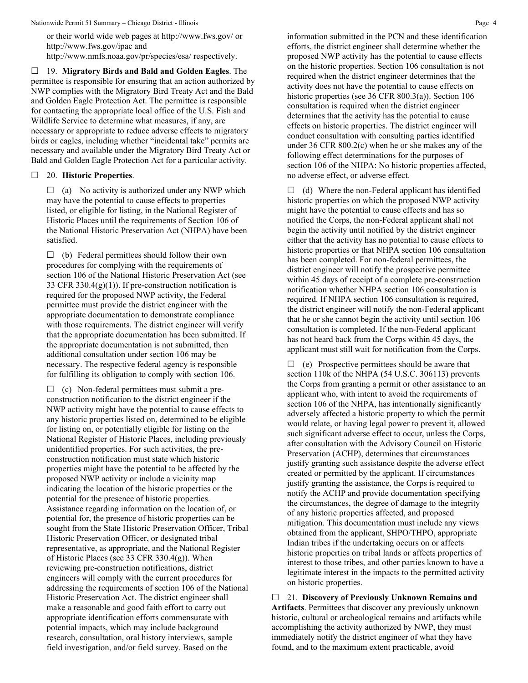or their world wide web pages at http://www.fws.gov/ or http://www.fws.gov/ipac and http://www.nmfs.noaa.gov/pr/species/esa/ respectively.

 19. **Migratory Birds and Bald and Golden Eagles**. The permittee is responsible for ensuring that an action authorized by NWP complies with the Migratory Bird Treaty Act and the Bald and Golden Eagle Protection Act. The permittee is responsible for contacting the appropriate local office of the U.S. Fish and Wildlife Service to determine what measures, if any, are necessary or appropriate to reduce adverse effects to migratory birds or eagles, including whether "incidental take" permits are necessary and available under the Migratory Bird Treaty Act or Bald and Golden Eagle Protection Act for a particular activity.

20. **Historic Properties**.

 $\Box$  (a) No activity is authorized under any NWP which may have the potential to cause effects to properties listed, or eligible for listing, in the National Register of Historic Places until the requirements of Section 106 of the National Historic Preservation Act (NHPA) have been satisfied.

 $\Box$  (b) Federal permittees should follow their own procedures for complying with the requirements of section 106 of the National Historic Preservation Act (see 33 CFR 330.4 $(g)(1)$ ). If pre-construction notification is required for the proposed NWP activity, the Federal permittee must provide the district engineer with the appropriate documentation to demonstrate compliance with those requirements. The district engineer will verify that the appropriate documentation has been submitted. If the appropriate documentation is not submitted, then additional consultation under section 106 may be necessary. The respective federal agency is responsible for fulfilling its obligation to comply with section 106.

 $\Box$  (c) Non-federal permittees must submit a preconstruction notification to the district engineer if the NWP activity might have the potential to cause effects to any historic properties listed on, determined to be eligible for listing on, or potentially eligible for listing on the National Register of Historic Places, including previously unidentified properties. For such activities, the preconstruction notification must state which historic properties might have the potential to be affected by the proposed NWP activity or include a vicinity map indicating the location of the historic properties or the potential for the presence of historic properties. Assistance regarding information on the location of, or potential for, the presence of historic properties can be sought from the State Historic Preservation Officer, Tribal Historic Preservation Officer, or designated tribal representative, as appropriate, and the National Register of Historic Places (see 33 CFR 330.4(g)). When reviewing pre-construction notifications, district engineers will comply with the current procedures for addressing the requirements of section 106 of the National Historic Preservation Act. The district engineer shall make a reasonable and good faith effort to carry out appropriate identification efforts commensurate with potential impacts, which may include background research, consultation, oral history interviews, sample field investigation, and/or field survey. Based on the

information submitted in the PCN and these identification efforts, the district engineer shall determine whether the proposed NWP activity has the potential to cause effects on the historic properties. Section 106 consultation is not required when the district engineer determines that the activity does not have the potential to cause effects on historic properties (see 36 CFR 800.3(a)). Section 106 consultation is required when the district engineer determines that the activity has the potential to cause effects on historic properties. The district engineer will conduct consultation with consulting parties identified under 36 CFR 800.2(c) when he or she makes any of the following effect determinations for the purposes of section 106 of the NHPA: No historic properties affected, no adverse effect, or adverse effect.

 $\Box$  (d) Where the non-Federal applicant has identified historic properties on which the proposed NWP activity might have the potential to cause effects and has so notified the Corps, the non-Federal applicant shall not begin the activity until notified by the district engineer either that the activity has no potential to cause effects to historic properties or that NHPA section 106 consultation has been completed. For non-federal permittees, the district engineer will notify the prospective permittee within 45 days of receipt of a complete pre-construction notification whether NHPA section 106 consultation is required. If NHPA section 106 consultation is required, the district engineer will notify the non-Federal applicant that he or she cannot begin the activity until section 106 consultation is completed. If the non-Federal applicant has not heard back from the Corps within 45 days, the applicant must still wait for notification from the Corps.

 $\Box$  (e) Prospective permittees should be aware that section 110k of the NHPA (54 U.S.C. 306113) prevents the Corps from granting a permit or other assistance to an applicant who, with intent to avoid the requirements of section 106 of the NHPA, has intentionally significantly adversely affected a historic property to which the permit would relate, or having legal power to prevent it, allowed such significant adverse effect to occur, unless the Corps, after consultation with the Advisory Council on Historic Preservation (ACHP), determines that circumstances justify granting such assistance despite the adverse effect created or permitted by the applicant. If circumstances justify granting the assistance, the Corps is required to notify the ACHP and provide documentation specifying the circumstances, the degree of damage to the integrity of any historic properties affected, and proposed mitigation. This documentation must include any views obtained from the applicant, SHPO/THPO, appropriate Indian tribes if the undertaking occurs on or affects historic properties on tribal lands or affects properties of interest to those tribes, and other parties known to have a legitimate interest in the impacts to the permitted activity on historic properties.

 21. **Discovery of Previously Unknown Remains and Artifacts**. Permittees that discover any previously unknown historic, cultural or archeological remains and artifacts while accomplishing the activity authorized by NWP, they must immediately notify the district engineer of what they have found, and to the maximum extent practicable, avoid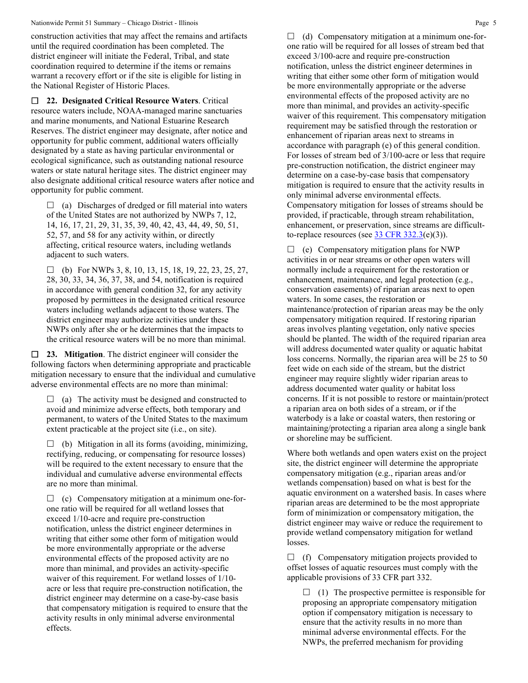construction activities that may affect the remains and artifacts until the required coordination has been completed. The district engineer will initiate the Federal, Tribal, and state coordination required to determine if the items or remains warrant a recovery effort or if the site is eligible for listing in the National Register of Historic Places.

 **22. Designated Critical Resource Waters**. Critical resource waters include, NOAA-managed marine sanctuaries and marine monuments, and National Estuarine Research Reserves. The district engineer may designate, after notice and opportunity for public comment, additional waters officially designated by a state as having particular environmental or ecological significance, such as outstanding national resource waters or state natural heritage sites. The district engineer may also designate additional critical resource waters after notice and opportunity for public comment.

 $\Box$  (a) Discharges of dredged or fill material into waters of the United States are not authorized by NWPs 7, 12, 14, 16, 17, 21, 29, 31, 35, 39, 40, 42, 43, 44, 49, 50, 51, 52, 57, and 58 for any activity within, or directly affecting, critical resource waters, including wetlands adjacent to such waters.

 $\Box$  (b) For NWPs 3, 8, 10, 13, 15, 18, 19, 22, 23, 25, 27, 28, 30, 33, 34, 36, 37, 38, and 54, notification is required in accordance with general condition 32, for any activity proposed by permittees in the designated critical resource waters including wetlands adjacent to those waters. The district engineer may authorize activities under these NWPs only after she or he determines that the impacts to the critical resource waters will be no more than minimal.

 **23. Mitigation**. The district engineer will consider the following factors when determining appropriate and practicable mitigation necessary to ensure that the individual and cumulative adverse environmental effects are no more than minimal:

 $\Box$  (a) The activity must be designed and constructed to avoid and minimize adverse effects, both temporary and permanent, to waters of the United States to the maximum extent practicable at the project site (i.e., on site).

 $\Box$  (b) Mitigation in all its forms (avoiding, minimizing, rectifying, reducing, or compensating for resource losses) will be required to the extent necessary to ensure that the individual and cumulative adverse environmental effects are no more than minimal.

 $\Box$  (c) Compensatory mitigation at a minimum one-forone ratio will be required for all wetland losses that exceed 1/10-acre and require pre-construction notification, unless the district engineer determines in writing that either some other form of mitigation would be more environmentally appropriate or the adverse environmental effects of the proposed activity are no more than minimal, and provides an activity-specific waiver of this requirement. For wetland losses of 1/10 acre or less that require pre-construction notification, the district engineer may determine on a case-by-case basis that compensatory mitigation is required to ensure that the activity results in only minimal adverse environmental effects.

 $\Box$  (d) Compensatory mitigation at a minimum one-forone ratio will be required for all losses of stream bed that exceed 3/100-acre and require pre-construction notification, unless the district engineer determines in writing that either some other form of mitigation would be more environmentally appropriate or the adverse environmental effects of the proposed activity are no more than minimal, and provides an activity-specific waiver of this requirement. This compensatory mitigation requirement may be satisfied through the restoration or enhancement of riparian areas next to streams in accordance with paragraph (e) of this general condition. For losses of stream bed of 3/100-acre or less that require pre-construction notification, the district engineer may determine on a case-by-case basis that compensatory mitigation is required to ensure that the activity results in only minimal adverse environmental effects. Compensatory mitigation for losses of streams should be provided, if practicable, through stream rehabilitation, enhancement, or preservation, since streams are difficultto-replace resources (see  $33 \text{ CFR } 332.3(e)(3)$ ).

 $\Box$  (e) Compensatory mitigation plans for NWP activities in or near streams or other open waters will normally include a requirement for the restoration or enhancement, maintenance, and legal protection (e.g., conservation easements) of riparian areas next to open waters. In some cases, the restoration or maintenance/protection of riparian areas may be the only compensatory mitigation required. If restoring riparian areas involves planting vegetation, only native species should be planted. The width of the required riparian area will address documented water quality or aquatic habitat loss concerns. Normally, the riparian area will be 25 to 50 feet wide on each side of the stream, but the district engineer may require slightly wider riparian areas to address documented water quality or habitat loss concerns. If it is not possible to restore or maintain/protect a riparian area on both sides of a stream, or if the waterbody is a lake or coastal waters, then restoring or maintaining/protecting a riparian area along a single bank or shoreline may be sufficient.

Where both wetlands and open waters exist on the project site, the district engineer will determine the appropriate compensatory mitigation (e.g., riparian areas and/or wetlands compensation) based on what is best for the aquatic environment on a watershed basis. In cases where riparian areas are determined to be the most appropriate form of minimization or compensatory mitigation, the district engineer may waive or reduce the requirement to provide wetland compensatory mitigation for wetland losses.

 $\Box$  (f) Compensatory mitigation projects provided to offset losses of aquatic resources must comply with the applicable provisions of 33 CFR part 332.

 $\Box$  (1) The prospective permittee is responsible for proposing an appropriate compensatory mitigation option if compensatory mitigation is necessary to ensure that the activity results in no more than minimal adverse environmental effects. For the NWPs, the preferred mechanism for providing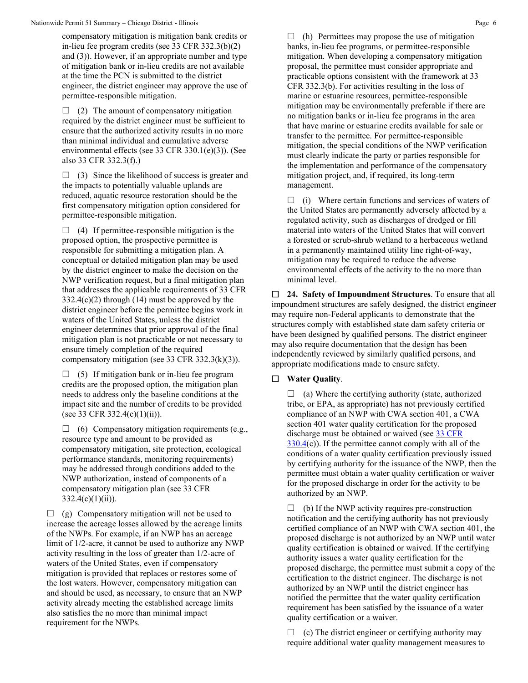compensatory mitigation is mitigation bank credits or in-lieu fee program credits (see 33 CFR 332.3(b)(2) and (3)). However, if an appropriate number and type of mitigation bank or in-lieu credits are not available at the time the PCN is submitted to the district engineer, the district engineer may approve the use of permittee-responsible mitigation.

 $\Box$  (2) The amount of compensatory mitigation required by the district engineer must be sufficient to ensure that the authorized activity results in no more than minimal individual and cumulative adverse environmental effects (see 33 CFR 330.1(e)(3)). (See also 33 CFR 332.3(f).)

 $\Box$  (3) Since the likelihood of success is greater and the impacts to potentially valuable uplands are reduced, aquatic resource restoration should be the first compensatory mitigation option considered for permittee-responsible mitigation.

 $\Box$  (4) If permittee-responsible mitigation is the proposed option, the prospective permittee is responsible for submitting a mitigation plan. A conceptual or detailed mitigation plan may be used by the district engineer to make the decision on the NWP verification request, but a final mitigation plan that addresses the applicable requirements of 33 CFR  $332.4(c)(2)$  through (14) must be approved by the district engineer before the permittee begins work in waters of the United States, unless the district engineer determines that prior approval of the final mitigation plan is not practicable or not necessary to ensure timely completion of the required compensatory mitigation (see 33 CFR 332.3(k)(3)).

 $\Box$  (5) If mitigation bank or in-lieu fee program credits are the proposed option, the mitigation plan needs to address only the baseline conditions at the impact site and the number of credits to be provided (see 33 CFR 332.4(c)(1)(ii)).

 $\Box$  (6) Compensatory mitigation requirements (e.g., resource type and amount to be provided as compensatory mitigation, site protection, ecological performance standards, monitoring requirements) may be addressed through conditions added to the NWP authorization, instead of components of a compensatory mitigation plan (see 33 CFR  $332.4(c)(1)(ii)$ ).

 $\Box$  (g) Compensatory mitigation will not be used to increase the acreage losses allowed by the acreage limits of the NWPs. For example, if an NWP has an acreage limit of 1/2-acre, it cannot be used to authorize any NWP activity resulting in the loss of greater than 1/2-acre of waters of the United States, even if compensatory mitigation is provided that replaces or restores some of the lost waters. However, compensatory mitigation can and should be used, as necessary, to ensure that an NWP activity already meeting the established acreage limits also satisfies the no more than minimal impact requirement for the NWPs.

 $\Box$  (h) Permittees may propose the use of mitigation banks, in-lieu fee programs, or permittee-responsible mitigation. When developing a compensatory mitigation proposal, the permittee must consider appropriate and practicable options consistent with the framework at 33 CFR 332.3(b). For activities resulting in the loss of marine or estuarine resources, permittee-responsible mitigation may be environmentally preferable if there are no mitigation banks or in-lieu fee programs in the area that have marine or estuarine credits available for sale or transfer to the permittee. For permittee-responsible mitigation, the special conditions of the NWP verification must clearly indicate the party or parties responsible for the implementation and performance of the compensatory mitigation project, and, if required, its long-term management.

 $\Box$  (i) Where certain functions and services of waters of the United States are permanently adversely affected by a regulated activity, such as discharges of dredged or fill material into waters of the United States that will convert a forested or scrub-shrub wetland to a herbaceous wetland in a permanently maintained utility line right-of-way, mitigation may be required to reduce the adverse environmental effects of the activity to the no more than minimal level.

 **24. Safety of Impoundment Structures**. To ensure that all impoundment structures are safely designed, the district engineer may require non-Federal applicants to demonstrate that the structures comply with established state dam safety criteria or have been designed by qualified persons. The district engineer may also require documentation that the design has been independently reviewed by similarly qualified persons, and appropriate modifications made to ensure safety.

# **Water Quality**.

 $\Box$  (a) Where the certifying authority (state, authorized tribe, or EPA, as appropriate) has not previously certified compliance of an NWP with CWA section 401, a CWA section 401 water quality certification for the proposed discharge must be obtained or waived (see 33 CFR [330.4\(](https://www.federalregister.gov/select-citation/2021/01/13/33-CFR-330.4)c)). If the permittee cannot comply with all of the conditions of a water quality certification previously issued by certifying authority for the issuance of the NWP, then the permittee must obtain a water quality certification or waiver for the proposed discharge in order for the activity to be authorized by an NWP.

 $\Box$  (b) If the NWP activity requires pre-construction notification and the certifying authority has not previously certified compliance of an NWP with CWA section 401, the proposed discharge is not authorized by an NWP until water quality certification is obtained or waived. If the certifying authority issues a water quality certification for the proposed discharge, the permittee must submit a copy of the certification to the district engineer. The discharge is not authorized by an NWP until the district engineer has notified the permittee that the water quality certification requirement has been satisfied by the issuance of a water quality certification or a waiver.

 $\Box$  (c) The district engineer or certifying authority may require additional water quality management measures to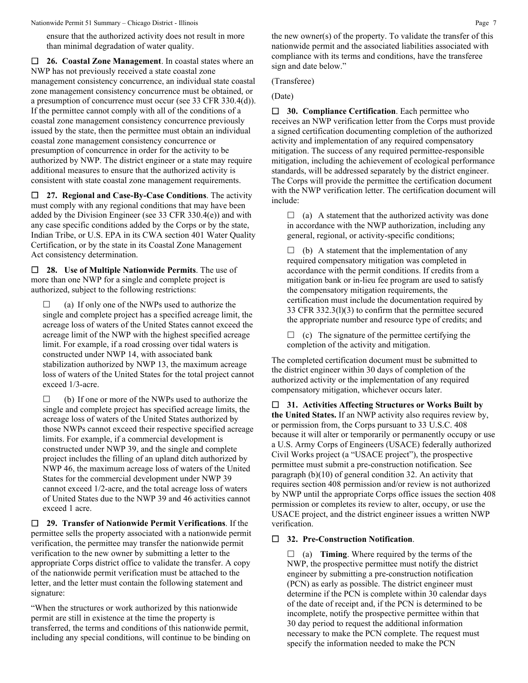ensure that the authorized activity does not result in more than minimal degradation of water quality.

 **26. Coastal Zone Management**. In coastal states where an NWP has not previously received a state coastal zone management consistency concurrence, an individual state coastal zone management consistency concurrence must be obtained, or a presumption of concurrence must occur (see 33 CFR 330.4(d)). If the permittee cannot comply with all of the conditions of a coastal zone management consistency concurrence previously issued by the state, then the permittee must obtain an individual coastal zone management consistency concurrence or presumption of concurrence in order for the activity to be authorized by NWP. The district engineer or a state may require additional measures to ensure that the authorized activity is consistent with state coastal zone management requirements.

 **27. Regional and Case-By-Case Conditions**. The activity must comply with any regional conditions that may have been added by the Division Engineer (see 33 CFR 330.4(e)) and with any case specific conditions added by the Corps or by the state, Indian Tribe, or U.S. EPA in its CWA section 401 Water Quality Certification, or by the state in its Coastal Zone Management Act consistency determination.

 **28. Use of Multiple Nationwide Permits**. The use of more than one NWP for a single and complete project is authorized, subject to the following restrictions:

 (a) If only one of the NWPs used to authorize the single and complete project has a specified acreage limit, the acreage loss of waters of the United States cannot exceed the acreage limit of the NWP with the highest specified acreage limit. For example, if a road crossing over tidal waters is constructed under NWP 14, with associated bank stabilization authorized by NWP 13, the maximum acreage loss of waters of the United States for the total project cannot exceed 1/3-acre.

 $\Box$  (b) If one or more of the NWPs used to authorize the single and complete project has specified acreage limits, the acreage loss of waters of the United States authorized by those NWPs cannot exceed their respective specified acreage limits. For example, if a commercial development is constructed under NWP 39, and the single and complete project includes the filling of an upland ditch authorized by NWP 46, the maximum acreage loss of waters of the United States for the commercial development under NWP 39 cannot exceed 1/2-acre, and the total acreage loss of waters of United States due to the NWP 39 and 46 activities cannot exceed 1 acre.

 **29. Transfer of Nationwide Permit Verifications**. If the permittee sells the property associated with a nationwide permit verification, the permittee may transfer the nationwide permit verification to the new owner by submitting a letter to the appropriate Corps district office to validate the transfer. A copy of the nationwide permit verification must be attached to the letter, and the letter must contain the following statement and signature:

"When the structures or work authorized by this nationwide permit are still in existence at the time the property is transferred, the terms and conditions of this nationwide permit, including any special conditions, will continue to be binding on the new owner(s) of the property. To validate the transfer of this nationwide permit and the associated liabilities associated with compliance with its terms and conditions, have the transferee sign and date below."

(Transferee)

(Date)

 **30. Compliance Certification**. Each permittee who receives an NWP verification letter from the Corps must provide a signed certification documenting completion of the authorized activity and implementation of any required compensatory mitigation. The success of any required permittee-responsible mitigation, including the achievement of ecological performance standards, will be addressed separately by the district engineer. The Corps will provide the permittee the certification document with the NWP verification letter. The certification document will include:

 $\Box$  (a) A statement that the authorized activity was done in accordance with the NWP authorization, including any general, regional, or activity-specific conditions;

 $\Box$  (b) A statement that the implementation of any required compensatory mitigation was completed in accordance with the permit conditions. If credits from a mitigation bank or in-lieu fee program are used to satisfy the compensatory mitigation requirements, the certification must include the documentation required by 33 CFR 332.3(l)(3) to confirm that the permittee secured the appropriate number and resource type of credits; and

 $\Box$  (c) The signature of the permittee certifying the completion of the activity and mitigation.

The completed certification document must be submitted to the district engineer within 30 days of completion of the authorized activity or the implementation of any required compensatory mitigation, whichever occurs later.

 **31. Activities Affecting Structures or Works Built by the United States.** If an NWP activity also requires review by, or permission from, the Corps pursuant to 33 U.S.C. 408 because it will alter or temporarily or permanently occupy or use a U.S. Army Corps of Engineers (USACE) federally authorized Civil Works project (a "USACE project"), the prospective permittee must submit a pre-construction notification. See paragraph (b)(10) of general condition 32. An activity that requires section 408 permission and/or review is not authorized by NWP until the appropriate Corps office issues the section 408 permission or completes its review to alter, occupy, or use the USACE project, and the district engineer issues a written NWP verification.

## **32. Pre-Construction Notification**.

 $\Box$  (a) **Timing**. Where required by the terms of the NWP, the prospective permittee must notify the district engineer by submitting a pre-construction notification (PCN) as early as possible. The district engineer must determine if the PCN is complete within 30 calendar days of the date of receipt and, if the PCN is determined to be incomplete, notify the prospective permittee within that 30 day period to request the additional information necessary to make the PCN complete. The request must specify the information needed to make the PCN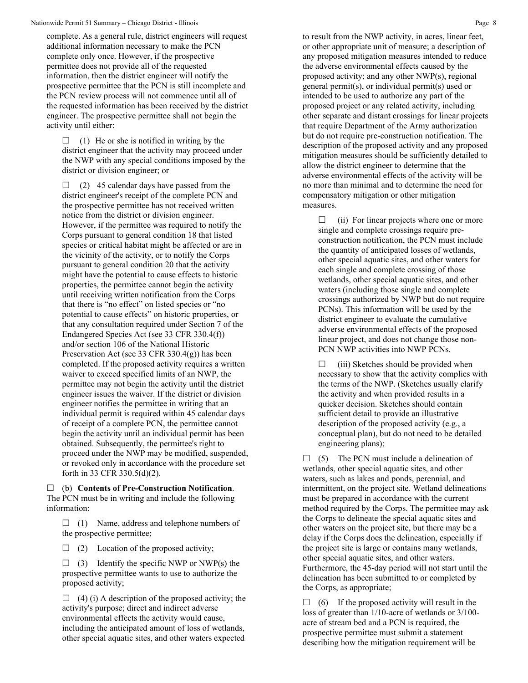complete. As a general rule, district engineers will request additional information necessary to make the PCN complete only once. However, if the prospective permittee does not provide all of the requested information, then the district engineer will notify the prospective permittee that the PCN is still incomplete and the PCN review process will not commence until all of the requested information has been received by the district engineer. The prospective permittee shall not begin the activity until either:

 $\Box$  (1) He or she is notified in writing by the district engineer that the activity may proceed under the NWP with any special conditions imposed by the district or division engineer; or

 $\Box$  (2) 45 calendar days have passed from the district engineer's receipt of the complete PCN and the prospective permittee has not received written notice from the district or division engineer. However, if the permittee was required to notify the Corps pursuant to general condition 18 that listed species or critical habitat might be affected or are in the vicinity of the activity, or to notify the Corps pursuant to general condition 20 that the activity might have the potential to cause effects to historic properties, the permittee cannot begin the activity until receiving written notification from the Corps that there is "no effect" on listed species or "no potential to cause effects" on historic properties, or that any consultation required under Section 7 of the Endangered Species Act (see 33 CFR 330.4(f)) and/or section 106 of the National Historic Preservation Act (see 33 CFR 330.4(g)) has been completed. If the proposed activity requires a written waiver to exceed specified limits of an NWP, the permittee may not begin the activity until the district engineer issues the waiver. If the district or division engineer notifies the permittee in writing that an individual permit is required within 45 calendar days of receipt of a complete PCN, the permittee cannot begin the activity until an individual permit has been obtained. Subsequently, the permittee's right to proceed under the NWP may be modified, suspended, or revoked only in accordance with the procedure set forth in 33 CFR 330.5(d)(2).

 (b) **Contents of Pre-Construction Notification**. The PCN must be in writing and include the following information:

 $\Box$  (1) Name, address and telephone numbers of the prospective permittee;

 $\Box$  (2) Location of the proposed activity;

 $\Box$  (3) Identify the specific NWP or NWP(s) the prospective permittee wants to use to authorize the proposed activity;

 $\Box$  (4) (i) A description of the proposed activity; the activity's purpose; direct and indirect adverse environmental effects the activity would cause, including the anticipated amount of loss of wetlands, other special aquatic sites, and other waters expected

to result from the NWP activity, in acres, linear feet, or other appropriate unit of measure; a description of any proposed mitigation measures intended to reduce the adverse environmental effects caused by the proposed activity; and any other NWP(s), regional general permit(s), or individual permit(s) used or intended to be used to authorize any part of the proposed project or any related activity, including other separate and distant crossings for linear projects that require Department of the Army authorization but do not require pre-construction notification. The description of the proposed activity and any proposed mitigation measures should be sufficiently detailed to allow the district engineer to determine that the adverse environmental effects of the activity will be no more than minimal and to determine the need for compensatory mitigation or other mitigation measures.

 $\Box$  (ii) For linear projects where one or more single and complete crossings require preconstruction notification, the PCN must include the quantity of anticipated losses of wetlands, other special aquatic sites, and other waters for each single and complete crossing of those wetlands, other special aquatic sites, and other waters (including those single and complete crossings authorized by NWP but do not require PCNs). This information will be used by the district engineer to evaluate the cumulative adverse environmental effects of the proposed linear project, and does not change those non-PCN NWP activities into NWP PCNs.

 $\Box$  (iii) Sketches should be provided when necessary to show that the activity complies with the terms of the NWP. (Sketches usually clarify the activity and when provided results in a quicker decision. Sketches should contain sufficient detail to provide an illustrative description of the proposed activity (e.g., a conceptual plan), but do not need to be detailed engineering plans);

 $\Box$  (5) The PCN must include a delineation of wetlands, other special aquatic sites, and other waters, such as lakes and ponds, perennial, and intermittent, on the project site. Wetland delineations must be prepared in accordance with the current method required by the Corps. The permittee may ask the Corps to delineate the special aquatic sites and other waters on the project site, but there may be a delay if the Corps does the delineation, especially if the project site is large or contains many wetlands, other special aquatic sites, and other waters. Furthermore, the 45-day period will not start until the delineation has been submitted to or completed by the Corps, as appropriate;

 $\Box$  (6) If the proposed activity will result in the loss of greater than 1/10-acre of wetlands or 3/100 acre of stream bed and a PCN is required, the prospective permittee must submit a statement describing how the mitigation requirement will be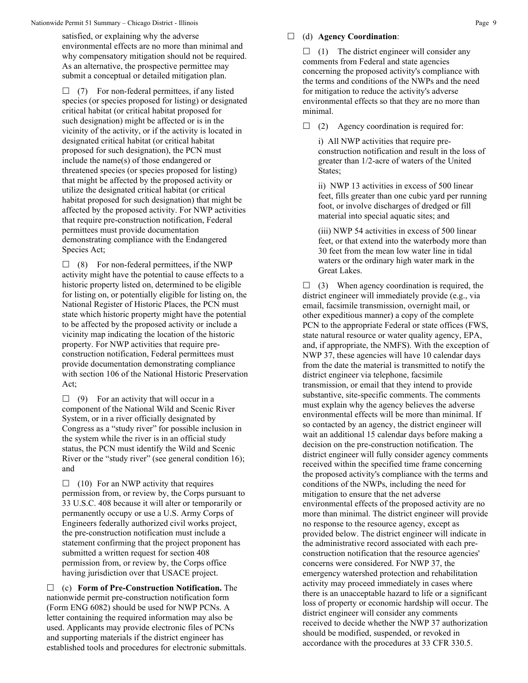satisfied, or explaining why the adverse environmental effects are no more than minimal and why compensatory mitigation should not be required. As an alternative, the prospective permittee may submit a conceptual or detailed mitigation plan.

 $\Box$  (7) For non-federal permittees, if any listed species (or species proposed for listing) or designated critical habitat (or critical habitat proposed for such designation) might be affected or is in the vicinity of the activity, or if the activity is located in designated critical habitat (or critical habitat proposed for such designation), the PCN must include the name(s) of those endangered or threatened species (or species proposed for listing) that might be affected by the proposed activity or utilize the designated critical habitat (or critical habitat proposed for such designation) that might be affected by the proposed activity. For NWP activities that require pre-construction notification, Federal permittees must provide documentation demonstrating compliance with the Endangered Species Act;

 $\Box$  (8) For non-federal permittees, if the NWP activity might have the potential to cause effects to a historic property listed on, determined to be eligible for listing on, or potentially eligible for listing on, the National Register of Historic Places, the PCN must state which historic property might have the potential to be affected by the proposed activity or include a vicinity map indicating the location of the historic property. For NWP activities that require preconstruction notification, Federal permittees must provide documentation demonstrating compliance with section 106 of the National Historic Preservation Act;

 $\Box$  (9) For an activity that will occur in a component of the National Wild and Scenic River System, or in a river officially designated by Congress as a "study river" for possible inclusion in the system while the river is in an official study status, the PCN must identify the Wild and Scenic River or the "study river" (see general condition 16); and

 $\Box$  (10) For an NWP activity that requires permission from, or review by, the Corps pursuant to 33 U.S.C. 408 because it will alter or temporarily or permanently occupy or use a U.S. Army Corps of Engineers federally authorized civil works project, the pre-construction notification must include a statement confirming that the project proponent has submitted a written request for section 408 permission from, or review by, the Corps office having jurisdiction over that USACE project.

 (c) **Form of Pre-Construction Notification.** The nationwide permit pre-construction notification form (Form ENG 6082) should be used for NWP PCNs. A letter containing the required information may also be used. Applicants may provide electronic files of PCNs and supporting materials if the district engineer has established tools and procedures for electronic submittals.

#### (d) **Agency Coordination**:

 $\Box$  (1) The district engineer will consider any comments from Federal and state agencies concerning the proposed activity's compliance with the terms and conditions of the NWPs and the need for mitigation to reduce the activity's adverse environmental effects so that they are no more than minimal.

 $\Box$  (2) Agency coordination is required for:

i) All NWP activities that require preconstruction notification and result in the loss of greater than 1/2-acre of waters of the United States;

ii) NWP 13 activities in excess of 500 linear feet, fills greater than one cubic yard per running foot, or involve discharges of dredged or fill material into special aquatic sites; and

(iii) NWP 54 activities in excess of 500 linear feet, or that extend into the waterbody more than 30 feet from the mean low water line in tidal waters or the ordinary high water mark in the Great Lakes.

 $\Box$  (3) When agency coordination is required, the district engineer will immediately provide (e.g., via email, facsimile transmission, overnight mail, or other expeditious manner) a copy of the complete PCN to the appropriate Federal or state offices (FWS, state natural resource or water quality agency, EPA, and, if appropriate, the NMFS). With the exception of NWP 37, these agencies will have 10 calendar days from the date the material is transmitted to notify the district engineer via telephone, facsimile transmission, or email that they intend to provide substantive, site-specific comments. The comments must explain why the agency believes the adverse environmental effects will be more than minimal. If so contacted by an agency, the district engineer will wait an additional 15 calendar days before making a decision on the pre-construction notification. The district engineer will fully consider agency comments received within the specified time frame concerning the proposed activity's compliance with the terms and conditions of the NWPs, including the need for mitigation to ensure that the net adverse environmental effects of the proposed activity are no more than minimal. The district engineer will provide no response to the resource agency, except as provided below. The district engineer will indicate in the administrative record associated with each preconstruction notification that the resource agencies' concerns were considered. For NWP 37, the emergency watershed protection and rehabilitation activity may proceed immediately in cases where there is an unacceptable hazard to life or a significant loss of property or economic hardship will occur. The district engineer will consider any comments received to decide whether the NWP 37 authorization should be modified, suspended, or revoked in accordance with the procedures at 33 CFR 330.5.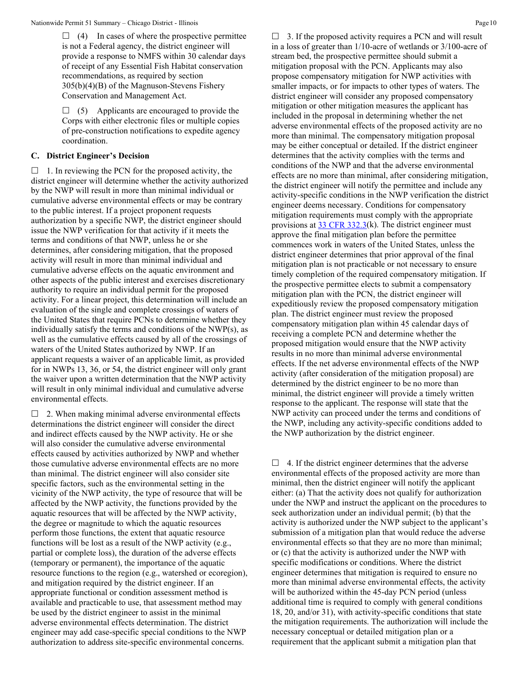$\Box$  (4) In cases of where the prospective permittee is not a Federal agency, the district engineer will provide a response to NMFS within 30 calendar days of receipt of any Essential Fish Habitat conservation recommendations, as required by section 305(b)(4)(B) of the Magnuson-Stevens Fishery Conservation and Management Act.

 $\Box$  (5) Applicants are encouraged to provide the Corps with either electronic files or multiple copies of pre-construction notifications to expedite agency coordination.

## **C. District Engineer's Decision**

 $\Box$  1. In reviewing the PCN for the proposed activity, the district engineer will determine whether the activity authorized by the NWP will result in more than minimal individual or cumulative adverse environmental effects or may be contrary to the public interest. If a project proponent requests authorization by a specific NWP, the district engineer should issue the NWP verification for that activity if it meets the terms and conditions of that NWP, unless he or she determines, after considering mitigation, that the proposed activity will result in more than minimal individual and cumulative adverse effects on the aquatic environment and other aspects of the public interest and exercises discretionary authority to require an individual permit for the proposed activity. For a linear project, this determination will include an evaluation of the single and complete crossings of waters of the United States that require PCNs to determine whether they individually satisfy the terms and conditions of the NWP(s), as well as the cumulative effects caused by all of the crossings of waters of the United States authorized by NWP. If an applicant requests a waiver of an applicable limit, as provided for in NWPs 13, 36, or 54, the district engineer will only grant the waiver upon a written determination that the NWP activity will result in only minimal individual and cumulative adverse environmental effects.

 $\Box$  2. When making minimal adverse environmental effects determinations the district engineer will consider the direct and indirect effects caused by the NWP activity. He or she will also consider the cumulative adverse environmental effects caused by activities authorized by NWP and whether those cumulative adverse environmental effects are no more than minimal. The district engineer will also consider site specific factors, such as the environmental setting in the vicinity of the NWP activity, the type of resource that will be affected by the NWP activity, the functions provided by the aquatic resources that will be affected by the NWP activity, the degree or magnitude to which the aquatic resources perform those functions, the extent that aquatic resource functions will be lost as a result of the NWP activity (e.g., partial or complete loss), the duration of the adverse effects (temporary or permanent), the importance of the aquatic resource functions to the region (e.g., watershed or ecoregion), and mitigation required by the district engineer. If an appropriate functional or condition assessment method is available and practicable to use, that assessment method may be used by the district engineer to assist in the minimal adverse environmental effects determination. The district engineer may add case-specific special conditions to the NWP authorization to address site-specific environmental concerns.

 $\Box$  3. If the proposed activity requires a PCN and will result in a loss of greater than 1/10-acre of wetlands or 3/100-acre of stream bed, the prospective permittee should submit a mitigation proposal with the PCN. Applicants may also propose compensatory mitigation for NWP activities with smaller impacts, or for impacts to other types of waters. The district engineer will consider any proposed compensatory mitigation or other mitigation measures the applicant has included in the proposal in determining whether the net adverse environmental effects of the proposed activity are no more than minimal. The compensatory mitigation proposal may be either conceptual or detailed. If the district engineer determines that the activity complies with the terms and conditions of the NWP and that the adverse environmental effects are no more than minimal, after considering mitigation, the district engineer will notify the permittee and include any activity-specific conditions in the NWP verification the district engineer deems necessary. Conditions for compensatory mitigation requirements must comply with the appropriate provisions at [33 CFR 332.3\(](https://www.federalregister.gov/select-citation/2021/01/13/33-CFR-332.3)k). The district engineer must approve the final mitigation plan before the permittee commences work in waters of the United States, unless the district engineer determines that prior approval of the final mitigation plan is not practicable or not necessary to ensure timely completion of the required compensatory mitigation. If the prospective permittee elects to submit a compensatory mitigation plan with the PCN, the district engineer will expeditiously review the proposed compensatory mitigation plan. The district engineer must review the proposed compensatory mitigation plan within 45 calendar days of receiving a complete PCN and determine whether the proposed mitigation would ensure that the NWP activity results in no more than minimal adverse environmental effects. If the net adverse environmental effects of the NWP activity (after consideration of the mitigation proposal) are determined by the district engineer to be no more than minimal, the district engineer will provide a timely written response to the applicant. The response will state that the NWP activity can proceed under the terms and conditions of the NWP, including any activity-specific conditions added to the NWP authorization by the district engineer.

 $\Box$  4. If the district engineer determines that the adverse environmental effects of the proposed activity are more than minimal, then the district engineer will notify the applicant either: (a) That the activity does not qualify for authorization under the NWP and instruct the applicant on the procedures to seek authorization under an individual permit; (b) that the activity is authorized under the NWP subject to the applicant's submission of a mitigation plan that would reduce the adverse environmental effects so that they are no more than minimal; or (c) that the activity is authorized under the NWP with specific modifications or conditions. Where the district engineer determines that mitigation is required to ensure no more than minimal adverse environmental effects, the activity will be authorized within the 45-day PCN period (unless additional time is required to comply with general conditions 18, 20, and/or 31), with activity-specific conditions that state the mitigation requirements. The authorization will include the necessary conceptual or detailed mitigation plan or a requirement that the applicant submit a mitigation plan that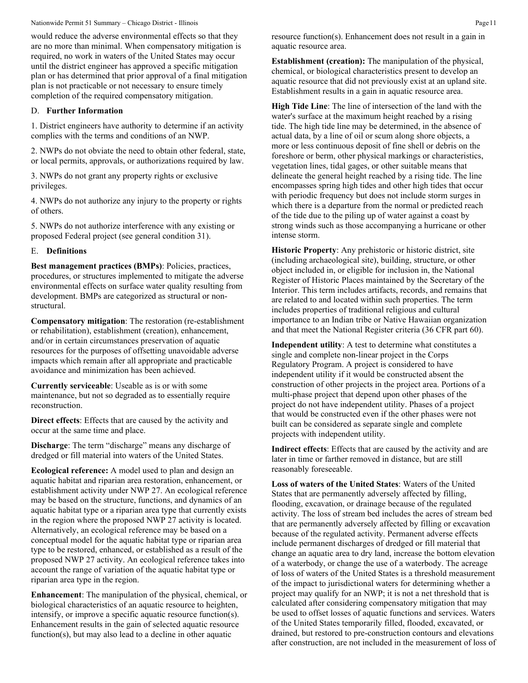would reduce the adverse environmental effects so that they are no more than minimal. When compensatory mitigation is required, no work in waters of the United States may occur until the district engineer has approved a specific mitigation plan or has determined that prior approval of a final mitigation plan is not practicable or not necessary to ensure timely completion of the required compensatory mitigation.

### D. **Further Information**

1. District engineers have authority to determine if an activity complies with the terms and conditions of an NWP.

2. NWPs do not obviate the need to obtain other federal, state, or local permits, approvals, or authorizations required by law.

3. NWPs do not grant any property rights or exclusive privileges.

4. NWPs do not authorize any injury to the property or rights of others.

5. NWPs do not authorize interference with any existing or proposed Federal project (see general condition 31).

## E. **Definitions**

**Best management practices (BMPs)**: Policies, practices, procedures, or structures implemented to mitigate the adverse environmental effects on surface water quality resulting from development. BMPs are categorized as structural or nonstructural.

**Compensatory mitigation**: The restoration (re-establishment or rehabilitation), establishment (creation), enhancement, and/or in certain circumstances preservation of aquatic resources for the purposes of offsetting unavoidable adverse impacts which remain after all appropriate and practicable avoidance and minimization has been achieved.

**Currently serviceable**: Useable as is or with some maintenance, but not so degraded as to essentially require reconstruction.

**Direct effects**: Effects that are caused by the activity and occur at the same time and place.

**Discharge**: The term "discharge" means any discharge of dredged or fill material into waters of the United States.

**Ecological reference:** A model used to plan and design an aquatic habitat and riparian area restoration, enhancement, or establishment activity under NWP 27. An ecological reference may be based on the structure, functions, and dynamics of an aquatic habitat type or a riparian area type that currently exists in the region where the proposed NWP 27 activity is located. Alternatively, an ecological reference may be based on a conceptual model for the aquatic habitat type or riparian area type to be restored, enhanced, or established as a result of the proposed NWP 27 activity. An ecological reference takes into account the range of variation of the aquatic habitat type or riparian area type in the region.

**Enhancement**: The manipulation of the physical, chemical, or biological characteristics of an aquatic resource to heighten, intensify, or improve a specific aquatic resource function(s). Enhancement results in the gain of selected aquatic resource function(s), but may also lead to a decline in other aquatic

**Establishment (creation):** The manipulation of the physical, chemical, or biological characteristics present to develop an aquatic resource that did not previously exist at an upland site. Establishment results in a gain in aquatic resource area.

**High Tide Line**: The line of intersection of the land with the water's surface at the maximum height reached by a rising tide. The high tide line may be determined, in the absence of actual data, by a line of oil or scum along shore objects, a more or less continuous deposit of fine shell or debris on the foreshore or berm, other physical markings or characteristics, vegetation lines, tidal gages, or other suitable means that delineate the general height reached by a rising tide. The line encompasses spring high tides and other high tides that occur with periodic frequency but does not include storm surges in which there is a departure from the normal or predicted reach of the tide due to the piling up of water against a coast by strong winds such as those accompanying a hurricane or other intense storm.

**Historic Property**: Any prehistoric or historic district, site (including archaeological site), building, structure, or other object included in, or eligible for inclusion in, the National Register of Historic Places maintained by the Secretary of the Interior. This term includes artifacts, records, and remains that are related to and located within such properties. The term includes properties of traditional religious and cultural importance to an Indian tribe or Native Hawaiian organization and that meet the National Register criteria (36 CFR part 60).

**Independent utility**: A test to determine what constitutes a single and complete non-linear project in the Corps Regulatory Program. A project is considered to have independent utility if it would be constructed absent the construction of other projects in the project area. Portions of a multi-phase project that depend upon other phases of the project do not have independent utility. Phases of a project that would be constructed even if the other phases were not built can be considered as separate single and complete projects with independent utility.

**Indirect effects**: Effects that are caused by the activity and are later in time or farther removed in distance, but are still reasonably foreseeable.

**Loss of waters of the United States**: Waters of the United States that are permanently adversely affected by filling, flooding, excavation, or drainage because of the regulated activity. The loss of stream bed includes the acres of stream bed that are permanently adversely affected by filling or excavation because of the regulated activity. Permanent adverse effects include permanent discharges of dredged or fill material that change an aquatic area to dry land, increase the bottom elevation of a waterbody, or change the use of a waterbody. The acreage of loss of waters of the United States is a threshold measurement of the impact to jurisdictional waters for determining whether a project may qualify for an NWP; it is not a net threshold that is calculated after considering compensatory mitigation that may be used to offset losses of aquatic functions and services. Waters of the United States temporarily filled, flooded, excavated, or drained, but restored to pre-construction contours and elevations after construction, are not included in the measurement of loss of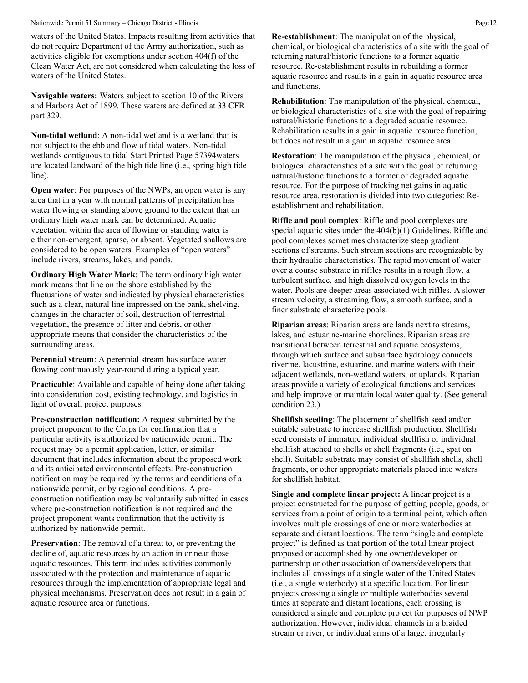waters of the United States. Impacts resulting from activities that do not require Department of the Army authorization, such as activities eligible for exemptions under section 404(f) of the Clean Water Act, are not considered when calculating the loss of waters of the United States.

**Navigable waters:** Waters subject to section 10 of the Rivers and Harbors Act of 1899. These waters are defined at 33 CFR part 329.

**Non-tidal wetland**: A non-tidal wetland is a wetland that is not subject to the ebb and flow of tidal waters. Non-tidal wetlands contiguous to tidal Start Printed Page 57394waters are located landward of the high tide line (i.e., spring high tide line).

**Open water**: For purposes of the NWPs, an open water is any area that in a year with normal patterns of precipitation has water flowing or standing above ground to the extent that an ordinary high water mark can be determined. Aquatic vegetation within the area of flowing or standing water is either non-emergent, sparse, or absent. Vegetated shallows are considered to be open waters. Examples of "open waters" include rivers, streams, lakes, and ponds.

**Ordinary High Water Mark**: The term ordinary high water mark means that line on the shore established by the fluctuations of water and indicated by physical characteristics such as a clear, natural line impressed on the bank, shelving, changes in the character of soil, destruction of terrestrial vegetation, the presence of litter and debris, or other appropriate means that consider the characteristics of the surrounding areas.

**Perennial stream**: A perennial stream has surface water flowing continuously year-round during a typical year.

**Practicable**: Available and capable of being done after taking into consideration cost, existing technology, and logistics in light of overall project purposes.

**Pre-construction notification:** A request submitted by the project proponent to the Corps for confirmation that a particular activity is authorized by nationwide permit. The request may be a permit application, letter, or similar document that includes information about the proposed work and its anticipated environmental effects. Pre-construction notification may be required by the terms and conditions of a nationwide permit, or by regional conditions. A preconstruction notification may be voluntarily submitted in cases where pre-construction notification is not required and the project proponent wants confirmation that the activity is authorized by nationwide permit.

**Preservation**: The removal of a threat to, or preventing the decline of, aquatic resources by an action in or near those aquatic resources. This term includes activities commonly associated with the protection and maintenance of aquatic resources through the implementation of appropriate legal and physical mechanisms. Preservation does not result in a gain of aquatic resource area or functions.

**Re-establishment**: The manipulation of the physical, chemical, or biological characteristics of a site with the goal of returning natural/historic functions to a former aquatic resource. Re-establishment results in rebuilding a former aquatic resource and results in a gain in aquatic resource area and functions.

**Rehabilitation**: The manipulation of the physical, chemical, or biological characteristics of a site with the goal of repairing natural/historic functions to a degraded aquatic resource. Rehabilitation results in a gain in aquatic resource function, but does not result in a gain in aquatic resource area.

**Restoration**: The manipulation of the physical, chemical, or biological characteristics of a site with the goal of returning natural/historic functions to a former or degraded aquatic resource. For the purpose of tracking net gains in aquatic resource area, restoration is divided into two categories: Reestablishment and rehabilitation.

**Riffle and pool complex**: Riffle and pool complexes are special aquatic sites under the 404(b)(1) Guidelines. Riffle and pool complexes sometimes characterize steep gradient sections of streams. Such stream sections are recognizable by their hydraulic characteristics. The rapid movement of water over a course substrate in riffles results in a rough flow, a turbulent surface, and high dissolved oxygen levels in the water. Pools are deeper areas associated with riffles. A slower stream velocity, a streaming flow, a smooth surface, and a finer substrate characterize pools.

**Riparian areas**: Riparian areas are lands next to streams, lakes, and estuarine-marine shorelines. Riparian areas are transitional between terrestrial and aquatic ecosystems, through which surface and subsurface hydrology connects riverine, lacustrine, estuarine, and marine waters with their adjacent wetlands, non-wetland waters, or uplands. Riparian areas provide a variety of ecological functions and services and help improve or maintain local water quality. (See general condition 23.)

**Shellfish seeding**: The placement of shellfish seed and/or suitable substrate to increase shellfish production. Shellfish seed consists of immature individual shellfish or individual shellfish attached to shells or shell fragments (i.e., spat on shell). Suitable substrate may consist of shellfish shells, shell fragments, or other appropriate materials placed into waters for shellfish habitat.

**Single and complete linear project:** A linear project is a project constructed for the purpose of getting people, goods, or services from a point of origin to a terminal point, which often involves multiple crossings of one or more waterbodies at separate and distant locations. The term "single and complete project" is defined as that portion of the total linear project proposed or accomplished by one owner/developer or partnership or other association of owners/developers that includes all crossings of a single water of the United States (i.e., a single waterbody) at a specific location. For linear projects crossing a single or multiple waterbodies several times at separate and distant locations, each crossing is considered a single and complete project for purposes of NWP authorization. However, individual channels in a braided stream or river, or individual arms of a large, irregularly